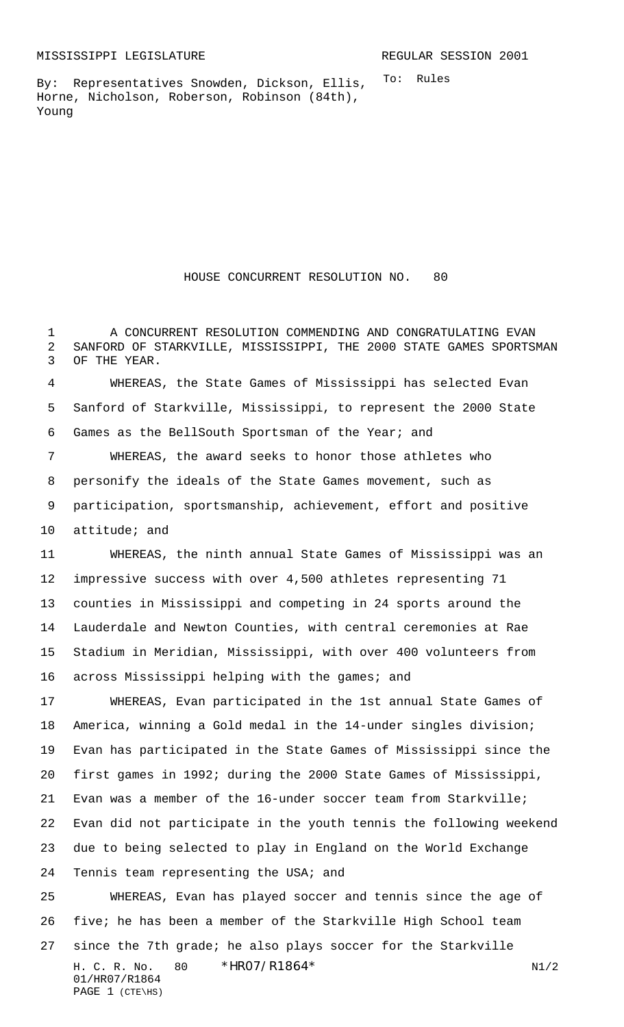To: Rules

By: Representatives Snowden, Dickson, Ellis, Horne, Nicholson, Roberson, Robinson (84th), Young

HOUSE CONCURRENT RESOLUTION NO. 80

 A CONCURRENT RESOLUTION COMMENDING AND CONGRATULATING EVAN SANFORD OF STARKVILLE, MISSISSIPPI, THE 2000 STATE GAMES SPORTSMAN OF THE YEAR.

 WHEREAS, the State Games of Mississippi has selected Evan Sanford of Starkville, Mississippi, to represent the 2000 State Games as the BellSouth Sportsman of the Year; and

 WHEREAS, the award seeks to honor those athletes who personify the ideals of the State Games movement, such as participation, sportsmanship, achievement, effort and positive attitude; and

 WHEREAS, the ninth annual State Games of Mississippi was an impressive success with over 4,500 athletes representing 71 counties in Mississippi and competing in 24 sports around the Lauderdale and Newton Counties, with central ceremonies at Rae Stadium in Meridian, Mississippi, with over 400 volunteers from 16 across Mississippi helping with the games; and

 WHEREAS, Evan participated in the 1st annual State Games of America, winning a Gold medal in the 14-under singles division; Evan has participated in the State Games of Mississippi since the first games in 1992; during the 2000 State Games of Mississippi, Evan was a member of the 16-under soccer team from Starkville; Evan did not participate in the youth tennis the following weekend due to being selected to play in England on the World Exchange Tennis team representing the USA; and

H. C. R. No.  $80 * HRO7/R1864 *$  N1/2 01/HR07/R1864 PAGE 1 (CTE\HS) WHEREAS, Evan has played soccer and tennis since the age of five; he has been a member of the Starkville High School team since the 7th grade; he also plays soccer for the Starkville